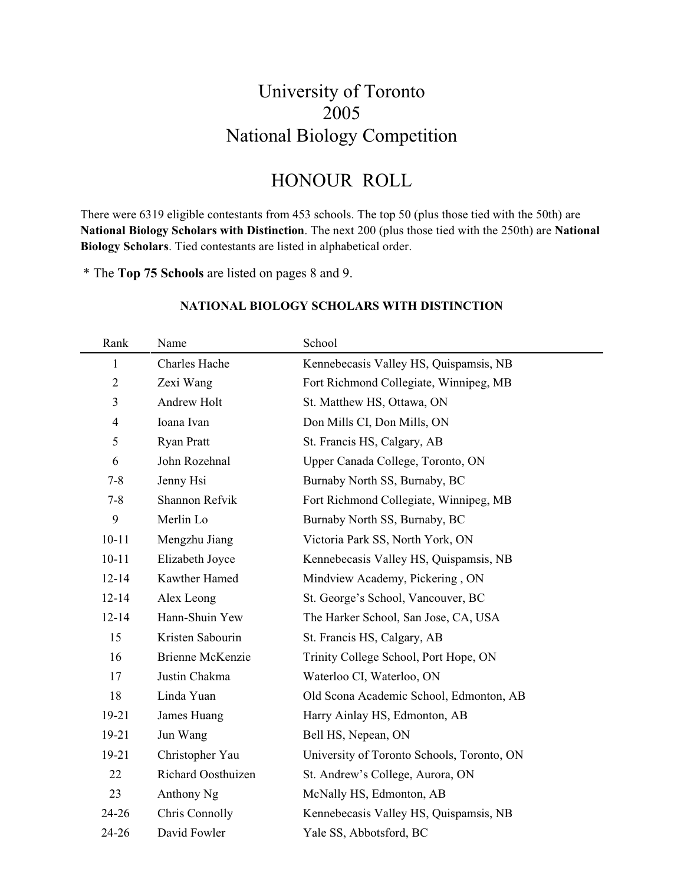### University of Toronto 2005 National Biology Competition

### HONOUR ROLL

There were 6319 eligible contestants from 453 schools. The top 50 (plus those tied with the 50th) are **National Biology Scholars with Distinction**. The next 200 (plus those tied with the 250th) are **National Biology Scholars**. Tied contestants are listed in alphabetical order.

\* The **Top 75 Schools** are listed on pages 8 and 9.

| Rank           | Name                    | School                                     |
|----------------|-------------------------|--------------------------------------------|
| 1              | Charles Hache           | Kennebecasis Valley HS, Quispamsis, NB     |
| $\overline{2}$ | Zexi Wang               | Fort Richmond Collegiate, Winnipeg, MB     |
| 3              | Andrew Holt             | St. Matthew HS, Ottawa, ON                 |
| $\overline{4}$ | Ioana Ivan              | Don Mills CI, Don Mills, ON                |
| 5              | <b>Ryan Pratt</b>       | St. Francis HS, Calgary, AB                |
| 6              | John Rozehnal           | Upper Canada College, Toronto, ON          |
| $7 - 8$        | Jenny Hsi               | Burnaby North SS, Burnaby, BC              |
| $7 - 8$        | Shannon Refvik          | Fort Richmond Collegiate, Winnipeg, MB     |
| 9              | Merlin Lo               | Burnaby North SS, Burnaby, BC              |
| $10 - 11$      | Mengzhu Jiang           | Victoria Park SS, North York, ON           |
| $10 - 11$      | Elizabeth Joyce         | Kennebecasis Valley HS, Quispamsis, NB     |
| $12 - 14$      | Kawther Hamed           | Mindview Academy, Pickering, ON            |
| $12 - 14$      | Alex Leong              | St. George's School, Vancouver, BC         |
| $12 - 14$      | Hann-Shuin Yew          | The Harker School, San Jose, CA, USA       |
| 15             | Kristen Sabourin        | St. Francis HS, Calgary, AB                |
| 16             | <b>Brienne McKenzie</b> | Trinity College School, Port Hope, ON      |
| 17             | Justin Chakma           | Waterloo CI, Waterloo, ON                  |
| 18             | Linda Yuan              | Old Scona Academic School, Edmonton, AB    |
| 19-21          | James Huang             | Harry Ainlay HS, Edmonton, AB              |
| 19-21          | Jun Wang                | Bell HS, Nepean, ON                        |
| 19-21          | Christopher Yau         | University of Toronto Schools, Toronto, ON |
| 22             | Richard Oosthuizen      | St. Andrew's College, Aurora, ON           |
| 23             | Anthony Ng              | McNally HS, Edmonton, AB                   |
| 24-26          | Chris Connolly          | Kennebecasis Valley HS, Quispamsis, NB     |
| 24-26          | David Fowler            | Yale SS, Abbotsford, BC                    |

#### **NATIONAL BIOLOGY SCHOLARS WITH DISTINCTION**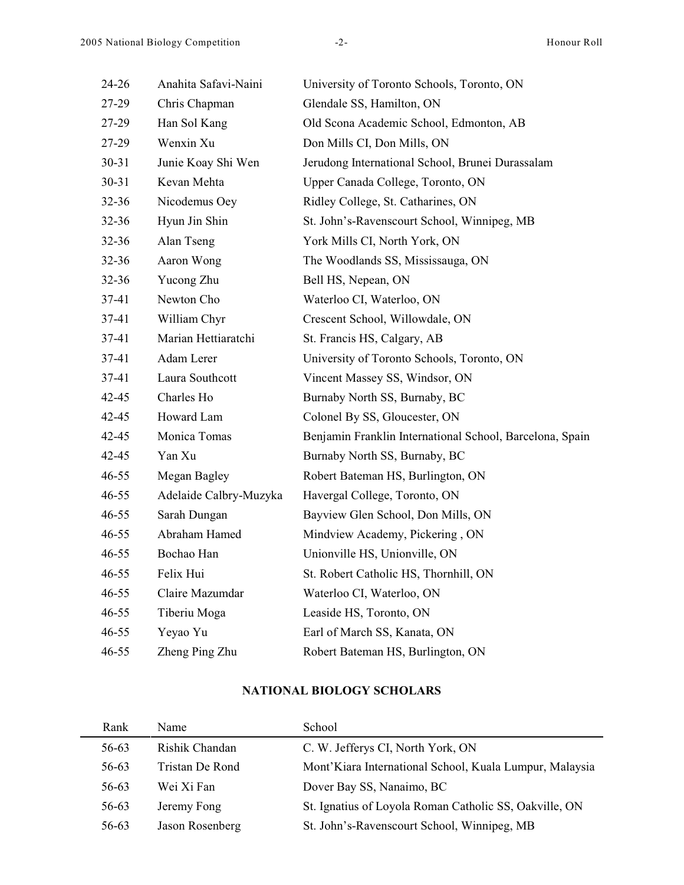| $24 - 26$ | Anahita Safavi-Naini   | University of Toronto Schools, Toronto, ON               |
|-----------|------------------------|----------------------------------------------------------|
| 27-29     | Chris Chapman          | Glendale SS, Hamilton, ON                                |
| 27-29     | Han Sol Kang           | Old Scona Academic School, Edmonton, AB                  |
| 27-29     | Wenxin Xu              | Don Mills CI, Don Mills, ON                              |
| $30 - 31$ | Junie Koay Shi Wen     | Jerudong International School, Brunei Durassalam         |
| $30 - 31$ | Kevan Mehta            | Upper Canada College, Toronto, ON                        |
| $32 - 36$ | Nicodemus Oey          | Ridley College, St. Catharines, ON                       |
| 32-36     | Hyun Jin Shin          | St. John's-Ravenscourt School, Winnipeg, MB              |
| $32 - 36$ | Alan Tseng             | York Mills CI, North York, ON                            |
| $32 - 36$ | Aaron Wong             | The Woodlands SS, Mississauga, ON                        |
| $32 - 36$ | Yucong Zhu             | Bell HS, Nepean, ON                                      |
| $37-41$   | Newton Cho             | Waterloo CI, Waterloo, ON                                |
| $37-41$   | William Chyr           | Crescent School, Willowdale, ON                          |
| $37-41$   | Marian Hettiaratchi    | St. Francis HS, Calgary, AB                              |
| $37-41$   | Adam Lerer             | University of Toronto Schools, Toronto, ON               |
| $37-41$   | Laura Southcott        | Vincent Massey SS, Windsor, ON                           |
| 42-45     | Charles Ho             | Burnaby North SS, Burnaby, BC                            |
| 42-45     | Howard Lam             | Colonel By SS, Gloucester, ON                            |
| 42-45     | Monica Tomas           | Benjamin Franklin International School, Barcelona, Spain |
| 42-45     | Yan Xu                 | Burnaby North SS, Burnaby, BC                            |
| $46 - 55$ | Megan Bagley           | Robert Bateman HS, Burlington, ON                        |
| $46 - 55$ | Adelaide Calbry-Muzyka | Havergal College, Toronto, ON                            |
| $46 - 55$ | Sarah Dungan           | Bayview Glen School, Don Mills, ON                       |
| $46 - 55$ | Abraham Hamed          | Mindview Academy, Pickering, ON                          |
| $46 - 55$ | Bochao Han             | Unionville HS, Unionville, ON                            |
| $46 - 55$ | Felix Hui              | St. Robert Catholic HS, Thornhill, ON                    |
| $46 - 55$ | Claire Mazumdar        | Waterloo CI, Waterloo, ON                                |
| $46 - 55$ | Tiberiu Moga           | Leaside HS, Toronto, ON                                  |
| $46 - 55$ | Yeyao Yu               | Earl of March SS, Kanata, ON                             |
| $46 - 55$ | Zheng Ping Zhu         | Robert Bateman HS, Burlington, ON                        |
|           |                        |                                                          |

### **NATIONAL BIOLOGY SCHOLARS**

| Rank  | Name            | School                                                  |
|-------|-----------------|---------------------------------------------------------|
| 56-63 | Rishik Chandan  | C. W. Jefferys CI, North York, ON                       |
| 56-63 | Tristan De Rond | Mont'Kiara International School, Kuala Lumpur, Malaysia |
| 56-63 | Wei Xi Fan      | Dover Bay SS, Nanaimo, BC                               |
| 56-63 | Jeremy Fong     | St. Ignatius of Loyola Roman Catholic SS, Oakville, ON  |
| 56-63 | Jason Rosenberg | St. John's-Ravenscourt School, Winnipeg, MB             |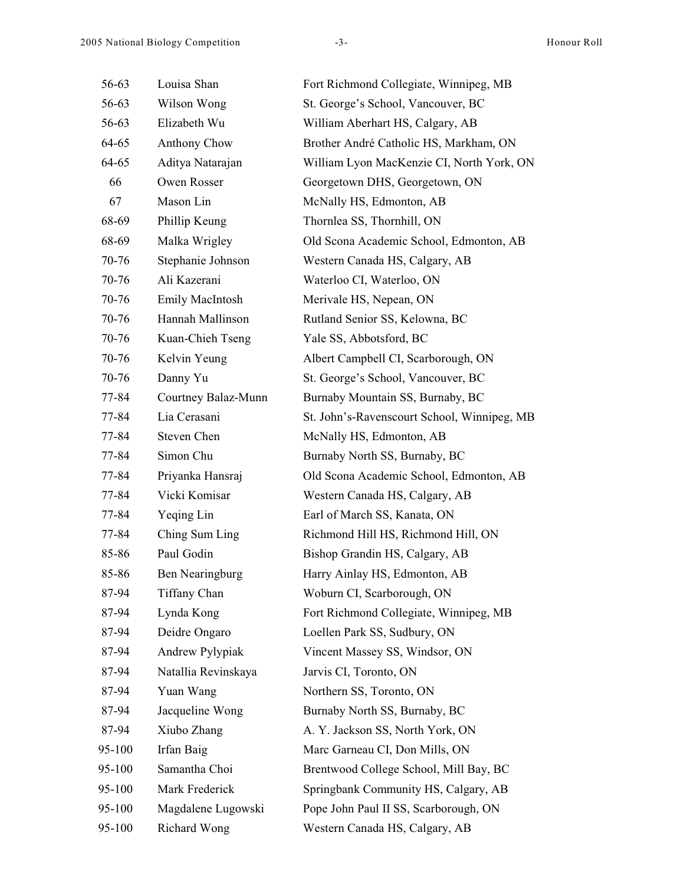| 56-63  | Louisa Shan            | Fort Richmond Collegiate, Winnipeg, MB      |
|--------|------------------------|---------------------------------------------|
| 56-63  | Wilson Wong            | St. George's School, Vancouver, BC          |
| 56-63  | Elizabeth Wu           | William Aberhart HS, Calgary, AB            |
| 64-65  | Anthony Chow           | Brother André Catholic HS, Markham, ON      |
| 64-65  | Aditya Natarajan       | William Lyon MacKenzie CI, North York, ON   |
| 66     | Owen Rosser            | Georgetown DHS, Georgetown, ON              |
| 67     | Mason Lin              | McNally HS, Edmonton, AB                    |
| 68-69  | Phillip Keung          | Thornlea SS, Thornhill, ON                  |
| 68-69  | Malka Wrigley          | Old Scona Academic School, Edmonton, AB     |
| 70-76  | Stephanie Johnson      | Western Canada HS, Calgary, AB              |
| 70-76  | Ali Kazerani           | Waterloo CI, Waterloo, ON                   |
| 70-76  | <b>Emily MacIntosh</b> | Merivale HS, Nepean, ON                     |
| 70-76  | Hannah Mallinson       | Rutland Senior SS, Kelowna, BC              |
| 70-76  | Kuan-Chieh Tseng       | Yale SS, Abbotsford, BC                     |
| 70-76  | Kelvin Yeung           | Albert Campbell CI, Scarborough, ON         |
| 70-76  | Danny Yu               | St. George's School, Vancouver, BC          |
| 77-84  | Courtney Balaz-Munn    | Burnaby Mountain SS, Burnaby, BC            |
| 77-84  | Lia Cerasani           | St. John's-Ravenscourt School, Winnipeg, MB |
| 77-84  | Steven Chen            | McNally HS, Edmonton, AB                    |
| 77-84  | Simon Chu              | Burnaby North SS, Burnaby, BC               |
| 77-84  | Priyanka Hansraj       | Old Scona Academic School, Edmonton, AB     |
| 77-84  | Vicki Komisar          | Western Canada HS, Calgary, AB              |
| 77-84  | Yeqing Lin             | Earl of March SS, Kanata, ON                |
| 77-84  | Ching Sum Ling         | Richmond Hill HS, Richmond Hill, ON         |
| 85-86  | Paul Godin             | Bishop Grandin HS, Calgary, AB              |
| 85-86  | Ben Nearingburg        | Harry Ainlay HS, Edmonton, AB               |
| 87-94  | Tiffany Chan           | Woburn CI, Scarborough, ON                  |
| 87-94  | Lynda Kong             | Fort Richmond Collegiate, Winnipeg, MB      |
| 87-94  | Deidre Ongaro          | Loellen Park SS, Sudbury, ON                |
| 87-94  | Andrew Pylypiak        | Vincent Massey SS, Windsor, ON              |
| 87-94  | Natallia Revinskaya    | Jarvis CI, Toronto, ON                      |
| 87-94  | Yuan Wang              | Northern SS, Toronto, ON                    |
| 87-94  | Jacqueline Wong        | Burnaby North SS, Burnaby, BC               |
| 87-94  | Xiubo Zhang            | A. Y. Jackson SS, North York, ON            |
| 95-100 | Irfan Baig             | Marc Garneau CI, Don Mills, ON              |
| 95-100 | Samantha Choi          | Brentwood College School, Mill Bay, BC      |
| 95-100 | Mark Frederick         | Springbank Community HS, Calgary, AB        |
| 95-100 | Magdalene Lugowski     | Pope John Paul II SS, Scarborough, ON       |
| 95-100 | <b>Richard Wong</b>    | Western Canada HS, Calgary, AB              |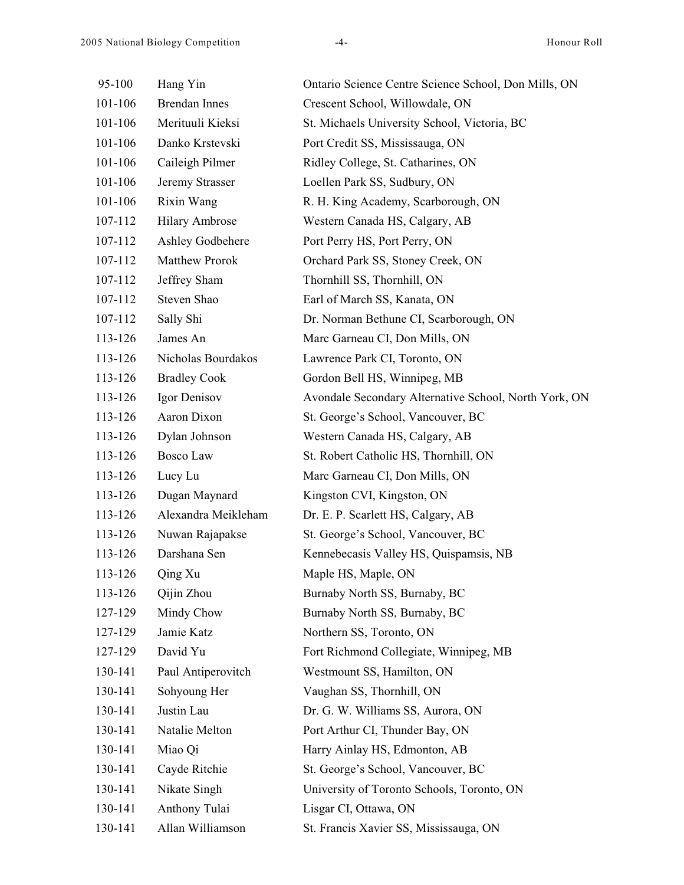| 95-100  | Hang Yin              | Ontario Science Centre Science School, Don Mills, ON  |  |
|---------|-----------------------|-------------------------------------------------------|--|
| 101-106 | <b>Brendan Innes</b>  | Crescent School, Willowdale, ON                       |  |
| 101-106 | Merituuli Kieksi      | St. Michaels University School, Victoria, BC          |  |
| 101-106 | Danko Krstevski       | Port Credit SS, Mississauga, ON                       |  |
| 101-106 | Caileigh Pilmer       | Ridley College, St. Catharines, ON                    |  |
| 101-106 | Jeremy Strasser       | Loellen Park SS, Sudbury, ON                          |  |
| 101-106 | Rixin Wang            | R. H. King Academy, Scarborough, ON                   |  |
| 107-112 | <b>Hilary Ambrose</b> | Western Canada HS, Calgary, AB                        |  |
| 107-112 | Ashley Godbehere      | Port Perry HS, Port Perry, ON                         |  |
| 107-112 | <b>Matthew Prorok</b> | Orchard Park SS, Stoney Creek, ON                     |  |
| 107-112 | Jeffrey Sham          | Thornhill SS, Thornhill, ON                           |  |
| 107-112 | Steven Shao           | Earl of March SS, Kanata, ON                          |  |
| 107-112 | Sally Shi             | Dr. Norman Bethune CI, Scarborough, ON                |  |
| 113-126 | James An              | Marc Garneau CI, Don Mills, ON                        |  |
| 113-126 | Nicholas Bourdakos    | Lawrence Park CI, Toronto, ON                         |  |
| 113-126 | <b>Bradley Cook</b>   | Gordon Bell HS, Winnipeg, MB                          |  |
| 113-126 | Igor Denisov          | Avondale Secondary Alternative School, North York, ON |  |
| 113-126 | Aaron Dixon           | St. George's School, Vancouver, BC                    |  |
| 113-126 | Dylan Johnson         | Western Canada HS, Calgary, AB                        |  |
| 113-126 | Bosco Law             | St. Robert Catholic HS, Thornhill, ON                 |  |
| 113-126 | Lucy Lu               | Marc Garneau CI, Don Mills, ON                        |  |
| 113-126 | Dugan Maynard         | Kingston CVI, Kingston, ON                            |  |
| 113-126 | Alexandra Meikleham   | Dr. E. P. Scarlett HS, Calgary, AB                    |  |
| 113-126 | Nuwan Rajapakse       | St. George's School, Vancouver, BC                    |  |
| 113-126 | Darshana Sen          | Kennebecasis Valley HS, Quispamsis, NB                |  |
| 113-126 | Qing Xu               | Maple HS, Maple, ON                                   |  |
| 113-126 | Qijin Zhou            | Burnaby North SS, Burnaby, BC                         |  |
| 127-129 | Mindy Chow            | Burnaby North SS, Burnaby, BC                         |  |
| 127-129 | Jamie Katz            | Northern SS, Toronto, ON                              |  |
| 127-129 | David Yu              | Fort Richmond Collegiate, Winnipeg, MB                |  |
| 130-141 | Paul Antiperovitch    | Westmount SS, Hamilton, ON                            |  |
| 130-141 | Sohyoung Her          | Vaughan SS, Thornhill, ON                             |  |
| 130-141 | Justin Lau            | Dr. G. W. Williams SS, Aurora, ON                     |  |
| 130-141 | Natalie Melton        | Port Arthur CI, Thunder Bay, ON                       |  |
| 130-141 | Miao Qi               | Harry Ainlay HS, Edmonton, AB                         |  |
| 130-141 | Cayde Ritchie         | St. George's School, Vancouver, BC                    |  |
| 130-141 | Nikate Singh          | University of Toronto Schools, Toronto, ON            |  |
| 130-141 | Anthony Tulai         | Lisgar CI, Ottawa, ON                                 |  |
| 130-141 | Allan Williamson      | St. Francis Xavier SS, Mississauga, ON                |  |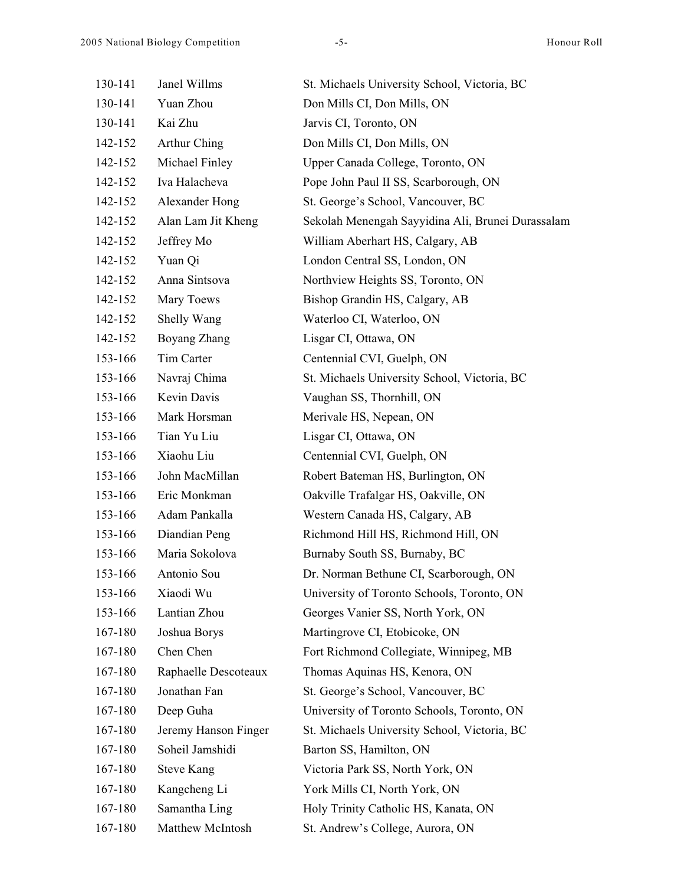| 130-141 | Janel Willms         | St. Michaels University School, Victoria, BC      |
|---------|----------------------|---------------------------------------------------|
| 130-141 | Yuan Zhou            | Don Mills CI, Don Mills, ON                       |
| 130-141 | Kai Zhu              | Jarvis CI, Toronto, ON                            |
| 142-152 | Arthur Ching         | Don Mills CI, Don Mills, ON                       |
| 142-152 | Michael Finley       | Upper Canada College, Toronto, ON                 |
| 142-152 | Iva Halacheva        | Pope John Paul II SS, Scarborough, ON             |
| 142-152 | Alexander Hong       | St. George's School, Vancouver, BC                |
| 142-152 | Alan Lam Jit Kheng   | Sekolah Menengah Sayyidina Ali, Brunei Durassalam |
| 142-152 | Jeffrey Mo           | William Aberhart HS, Calgary, AB                  |
| 142-152 | Yuan Qi              | London Central SS, London, ON                     |
| 142-152 | Anna Sintsova        | Northview Heights SS, Toronto, ON                 |
| 142-152 | Mary Toews           | Bishop Grandin HS, Calgary, AB                    |
| 142-152 | Shelly Wang          | Waterloo CI, Waterloo, ON                         |
| 142-152 | Boyang Zhang         | Lisgar CI, Ottawa, ON                             |
| 153-166 | Tim Carter           | Centennial CVI, Guelph, ON                        |
| 153-166 | Navraj Chima         | St. Michaels University School, Victoria, BC      |
| 153-166 | Kevin Davis          | Vaughan SS, Thornhill, ON                         |
| 153-166 | Mark Horsman         | Merivale HS, Nepean, ON                           |
| 153-166 | Tian Yu Liu          | Lisgar CI, Ottawa, ON                             |
| 153-166 | Xiaohu Liu           | Centennial CVI, Guelph, ON                        |
| 153-166 | John MacMillan       | Robert Bateman HS, Burlington, ON                 |
| 153-166 | Eric Monkman         | Oakville Trafalgar HS, Oakville, ON               |
| 153-166 | Adam Pankalla        | Western Canada HS, Calgary, AB                    |
| 153-166 | Diandian Peng        | Richmond Hill HS, Richmond Hill, ON               |
| 153-166 | Maria Sokolova       | Burnaby South SS, Burnaby, BC                     |
| 153-166 | Antonio Sou          | Dr. Norman Bethune CI, Scarborough, ON            |
| 153-166 | Xiaodi Wu            | University of Toronto Schools, Toronto, ON        |
| 153-166 | Lantian Zhou         | Georges Vanier SS, North York, ON                 |
| 167-180 | Joshua Borys         | Martingrove CI, Etobicoke, ON                     |
| 167-180 | Chen Chen            | Fort Richmond Collegiate, Winnipeg, MB            |
| 167-180 | Raphaelle Descoteaux | Thomas Aquinas HS, Kenora, ON                     |
| 167-180 | Jonathan Fan         | St. George's School, Vancouver, BC                |
| 167-180 | Deep Guha            | University of Toronto Schools, Toronto, ON        |
| 167-180 | Jeremy Hanson Finger | St. Michaels University School, Victoria, BC      |
| 167-180 | Soheil Jamshidi      | Barton SS, Hamilton, ON                           |
| 167-180 | <b>Steve Kang</b>    | Victoria Park SS, North York, ON                  |
| 167-180 | Kangcheng Li         | York Mills CI, North York, ON                     |
| 167-180 | Samantha Ling        | Holy Trinity Catholic HS, Kanata, ON              |
| 167-180 | Matthew McIntosh     | St. Andrew's College, Aurora, ON                  |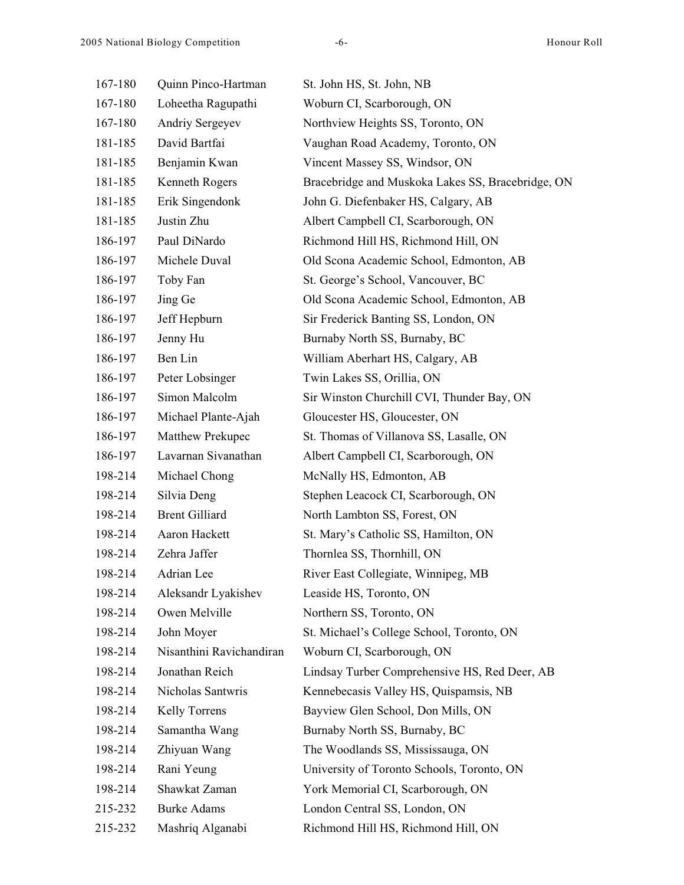| 167-180 | Quinn Pinco-Hartman      | St. John HS, St. John, NB                         |
|---------|--------------------------|---------------------------------------------------|
| 167-180 | Loheetha Ragupathi       | Woburn CI, Scarborough, ON                        |
| 167-180 | Andriy Sergeyev          | Northview Heights SS, Toronto, ON                 |
| 181-185 | David Bartfai            | Vaughan Road Academy, Toronto, ON                 |
| 181-185 | Benjamin Kwan            | Vincent Massey SS, Windsor, ON                    |
| 181-185 | Kenneth Rogers           | Bracebridge and Muskoka Lakes SS, Bracebridge, ON |
| 181-185 | Erik Singendonk          | John G. Diefenbaker HS, Calgary, AB               |
| 181-185 | Justin Zhu               | Albert Campbell CI, Scarborough, ON               |
| 186-197 | Paul DiNardo             | Richmond Hill HS, Richmond Hill, ON               |
| 186-197 | Michele Duval            | Old Scona Academic School, Edmonton, AB           |
| 186-197 | Toby Fan                 | St. George's School, Vancouver, BC                |
| 186-197 | Jing Ge                  | Old Scona Academic School, Edmonton, AB           |
| 186-197 | Jeff Hepburn             | Sir Frederick Banting SS, London, ON              |
| 186-197 | Jenny Hu                 | Burnaby North SS, Burnaby, BC                     |
| 186-197 | Ben Lin                  | William Aberhart HS, Calgary, AB                  |
| 186-197 | Peter Lobsinger          | Twin Lakes SS, Orillia, ON                        |
| 186-197 | Simon Malcolm            | Sir Winston Churchill CVI, Thunder Bay, ON        |
| 186-197 | Michael Plante-Ajah      | Gloucester HS, Gloucester, ON                     |
| 186-197 | Matthew Prekupec         | St. Thomas of Villanova SS, Lasalle, ON           |
| 186-197 | Lavarnan Sivanathan      | Albert Campbell CI, Scarborough, ON               |
| 198-214 | Michael Chong            | McNally HS, Edmonton, AB                          |
| 198-214 | Silvia Deng              | Stephen Leacock CI, Scarborough, ON               |
| 198-214 | <b>Brent Gilliard</b>    | North Lambton SS, Forest, ON                      |
| 198-214 | Aaron Hackett            | St. Mary's Catholic SS, Hamilton, ON              |
| 198-214 | Zehra Jaffer             | Thornlea SS, Thornhill, ON                        |
| 198-214 | Adrian Lee               | River East Collegiate, Winnipeg, MB               |
| 198-214 | Aleksandr Lyakishev      | Leaside HS, Toronto, ON                           |
| 198-214 | Owen Melville            | Northern SS, Toronto, ON                          |
| 198-214 | John Moyer               | St. Michael's College School, Toronto, ON         |
| 198-214 | Nisanthini Ravichandiran | Woburn CI, Scarborough, ON                        |
| 198-214 | Jonathan Reich           | Lindsay Turber Comprehensive HS, Red Deer, AB     |
| 198-214 | Nicholas Santwris        | Kennebecasis Valley HS, Quispamsis, NB            |
| 198-214 | Kelly Torrens            | Bayview Glen School, Don Mills, ON                |
| 198-214 | Samantha Wang            | Burnaby North SS, Burnaby, BC                     |
| 198-214 | Zhiyuan Wang             | The Woodlands SS, Mississauga, ON                 |
| 198-214 | Rani Yeung               | University of Toronto Schools, Toronto, ON        |
| 198-214 | Shawkat Zaman            | York Memorial CI, Scarborough, ON                 |
| 215-232 | <b>Burke Adams</b>       | London Central SS, London, ON                     |
| 215-232 | Mashriq Alganabi         | Richmond Hill HS, Richmond Hill, ON               |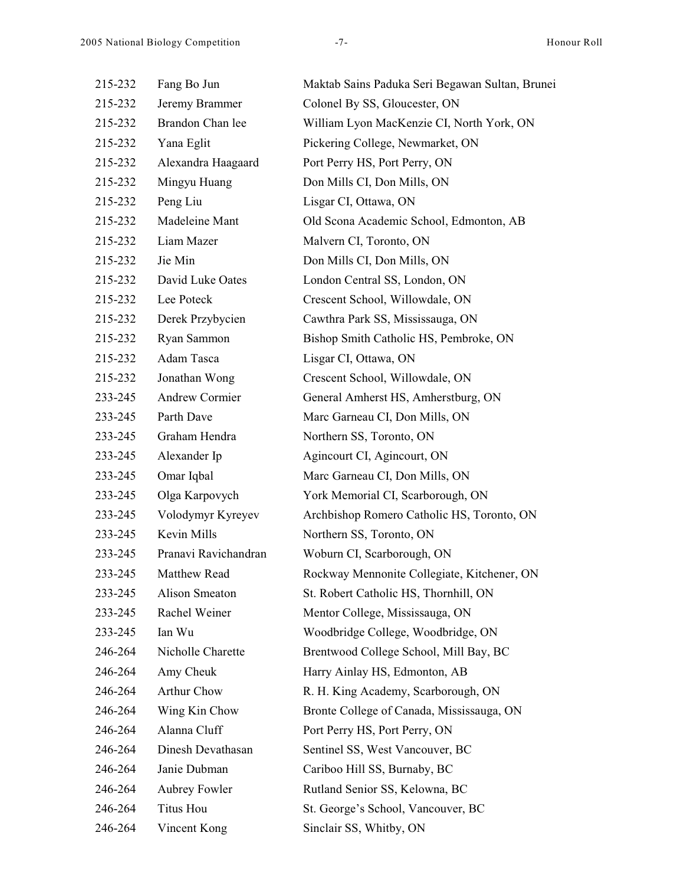| 215-232 | Fang Bo Jun           | Maktab Sains Paduka Seri Begawan Sultan, Brunei |
|---------|-----------------------|-------------------------------------------------|
| 215-232 | Jeremy Brammer        | Colonel By SS, Gloucester, ON                   |
| 215-232 | Brandon Chan lee      | William Lyon MacKenzie CI, North York, ON       |
| 215-232 | Yana Eglit            | Pickering College, Newmarket, ON                |
| 215-232 | Alexandra Haagaard    | Port Perry HS, Port Perry, ON                   |
| 215-232 | Mingyu Huang          | Don Mills CI, Don Mills, ON                     |
| 215-232 | Peng Liu              | Lisgar CI, Ottawa, ON                           |
| 215-232 | Madeleine Mant        | Old Scona Academic School, Edmonton, AB         |
| 215-232 | Liam Mazer            | Malvern CI, Toronto, ON                         |
| 215-232 | Jie Min               | Don Mills CI, Don Mills, ON                     |
| 215-232 | David Luke Oates      | London Central SS, London, ON                   |
| 215-232 | Lee Poteck            | Crescent School, Willowdale, ON                 |
| 215-232 | Derek Przybycien      | Cawthra Park SS, Mississauga, ON                |
| 215-232 | Ryan Sammon           | Bishop Smith Catholic HS, Pembroke, ON          |
| 215-232 | Adam Tasca            | Lisgar CI, Ottawa, ON                           |
| 215-232 | Jonathan Wong         | Crescent School, Willowdale, ON                 |
| 233-245 | <b>Andrew Cormier</b> | General Amherst HS, Amherstburg, ON             |
| 233-245 | Parth Dave            | Marc Garneau CI, Don Mills, ON                  |
| 233-245 | Graham Hendra         | Northern SS, Toronto, ON                        |
| 233-245 | Alexander Ip          | Agincourt CI, Agincourt, ON                     |
| 233-245 | Omar Iqbal            | Marc Garneau CI, Don Mills, ON                  |
| 233-245 | Olga Karpovych        | York Memorial CI, Scarborough, ON               |
| 233-245 | Volodymyr Kyreyev     | Archbishop Romero Catholic HS, Toronto, ON      |
| 233-245 | Kevin Mills           | Northern SS, Toronto, ON                        |
| 233-245 | Pranavi Ravichandran  | Woburn CI, Scarborough, ON                      |
| 233-245 | Matthew Read          | Rockway Mennonite Collegiate, Kitchener, ON     |
| 233-245 | Alison Smeaton        | St. Robert Catholic HS, Thornhill, ON           |
| 233-245 | Rachel Weiner         | Mentor College, Mississauga, ON                 |
| 233-245 | Ian Wu                | Woodbridge College, Woodbridge, ON              |
| 246-264 | Nicholle Charette     | Brentwood College School, Mill Bay, BC          |
| 246-264 | Amy Cheuk             | Harry Ainlay HS, Edmonton, AB                   |
| 246-264 | Arthur Chow           | R. H. King Academy, Scarborough, ON             |
| 246-264 | Wing Kin Chow         | Bronte College of Canada, Mississauga, ON       |
| 246-264 | Alanna Cluff          | Port Perry HS, Port Perry, ON                   |
| 246-264 | Dinesh Devathasan     | Sentinel SS, West Vancouver, BC                 |
| 246-264 | Janie Dubman          | Cariboo Hill SS, Burnaby, BC                    |
| 246-264 | Aubrey Fowler         | Rutland Senior SS, Kelowna, BC                  |
| 246-264 | Titus Hou             | St. George's School, Vancouver, BC              |
| 246-264 | Vincent Kong          | Sinclair SS, Whitby, ON                         |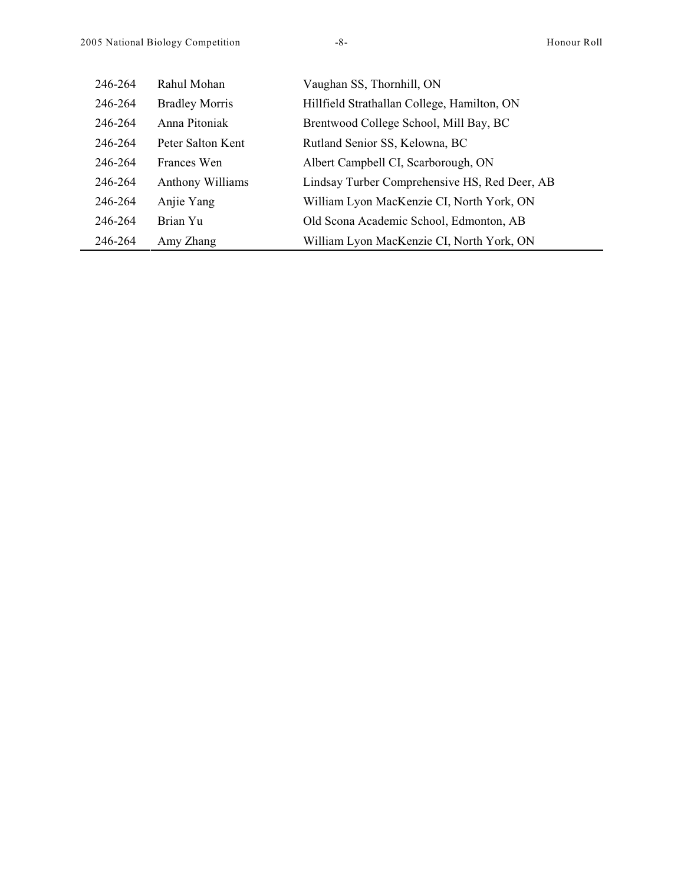| 246-264 | Rahul Mohan             | Vaughan SS, Thornhill, ON                     |
|---------|-------------------------|-----------------------------------------------|
| 246-264 | <b>Bradley Morris</b>   | Hillfield Strathallan College, Hamilton, ON   |
| 246-264 | Anna Pitoniak           | Brentwood College School, Mill Bay, BC        |
| 246-264 | Peter Salton Kent       | Rutland Senior SS, Kelowna, BC                |
| 246-264 | Frances Wen             | Albert Campbell CI, Scarborough, ON           |
| 246-264 | <b>Anthony Williams</b> | Lindsay Turber Comprehensive HS, Red Deer, AB |
| 246-264 | Anjie Yang              | William Lyon MacKenzie CI, North York, ON     |
| 246-264 | Brian Yu                | Old Scona Academic School, Edmonton, AB       |
| 246-264 | Amy Zhang               | William Lyon MacKenzie CI, North York, ON     |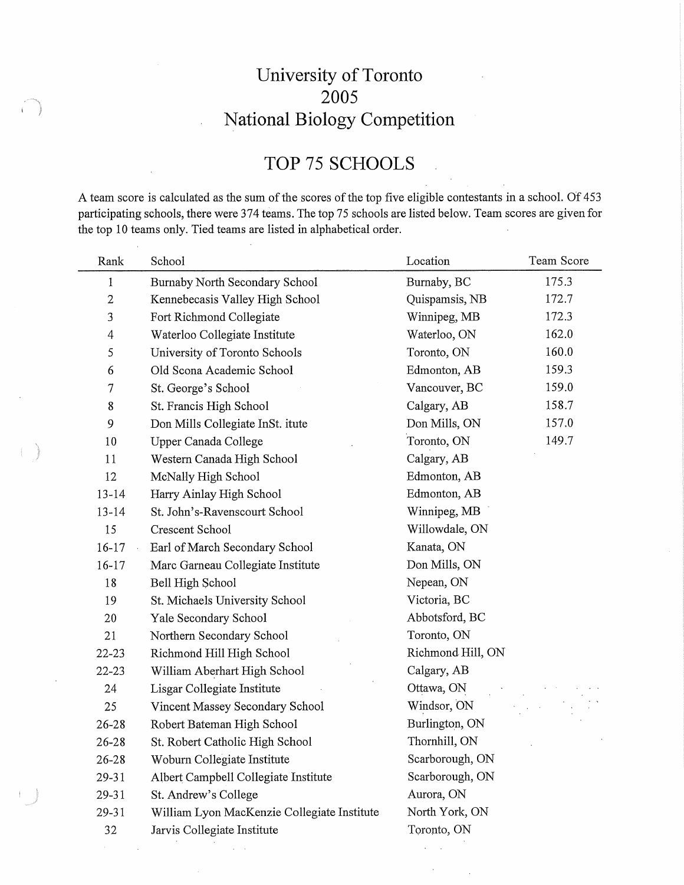## University of Toronto 2005 National Biology Competition

# TOP 75 SCHOOLS

A team score is calculated as the sum of the scores of the top five eligible contestants in a school. Of 453 participating schools, there were 374 teams. The top 75 schools are listed below. Team scores are given for the top 10 teams only. Tied teams are listed in alphabetical order.

l,

| Rank           | School                                      | Location          | Team Score |
|----------------|---------------------------------------------|-------------------|------------|
| $\mathbf{1}$   | Burnaby North Secondary School              | Burnaby, BC       | 175.3      |
| $\sqrt{2}$     | Kennebecasis Valley High School             | Quispamsis, NB    | 172.7      |
| 3              | Fort Richmond Collegiate                    | Winnipeg, MB      | 172.3      |
| $\overline{4}$ | Waterloo Collegiate Institute               | Waterloo, ON      | 162.0      |
| 5              | University of Toronto Schools               | Toronto, ON       | 160.0      |
| 6              | Old Scona Academic School                   | Edmonton, AB      | 159.3      |
| 7              | St. George's School                         | Vancouver, BC     | 159.0      |
| 8              | St. Francis High School                     | Calgary, AB       | 158.7      |
| 9              | Don Mills Collegiate InSt. itute            | Don Mills, ON     | 157.0      |
| 10             | Upper Canada College                        | Toronto, ON       | 149.7      |
| 11             | Western Canada High School                  | Calgary, AB       |            |
| 12             | McNally High School                         | Edmonton, AB      |            |
| $13 - 14$      | Harry Ainlay High School                    | Edmonton, AB      |            |
| $13 - 14$      | St. John's-Ravenscourt School               | Winnipeg, MB      |            |
| 15             | Crescent School                             | Willowdale, ON    |            |
| $16 - 17$      | Earl of March Secondary School              | Kanata, ON        |            |
| 16-17          | Marc Garneau Collegiate Institute           | Don Mills, ON     |            |
| 18             | Bell High School                            | Nepean, ON        |            |
| 19             | St. Michaels University School              | Victoria, BC      |            |
| 20             | Yale Secondary School                       | Abbotsford, BC    |            |
| 21             | Northern Secondary School                   | Toronto, ON       |            |
| 22-23          | Richmond Hill High School                   | Richmond Hill, ON |            |
| $22 - 23$      | William Aberhart High School                | Calgary, AB       |            |
| 24             | Lisgar Collegiate Institute                 | Ottawa, ON        |            |
| 25             | Vincent Massey Secondary School             | Windsor, ON       |            |
| $26 - 28$      | Robert Bateman High School                  | Burlington, ON    |            |
| 26-28          | St. Robert Catholic High School             | Thornhill, ON     |            |
| $26 - 28$      | Woburn Collegiate Institute                 | Scarborough, ON   |            |
| 29-31          | Albert Campbell Collegiate Institute        | Scarborough, ON   |            |
| 29-31          | St. Andrew's College                        | Aurora, ON        |            |
| 29-31          | William Lyon MacKenzie Collegiate Institute | North York, ON    |            |
| 32             | Jarvis Collegiate Institute                 | Toronto, ON       |            |
|                |                                             |                   |            |

 $\alpha = \alpha$